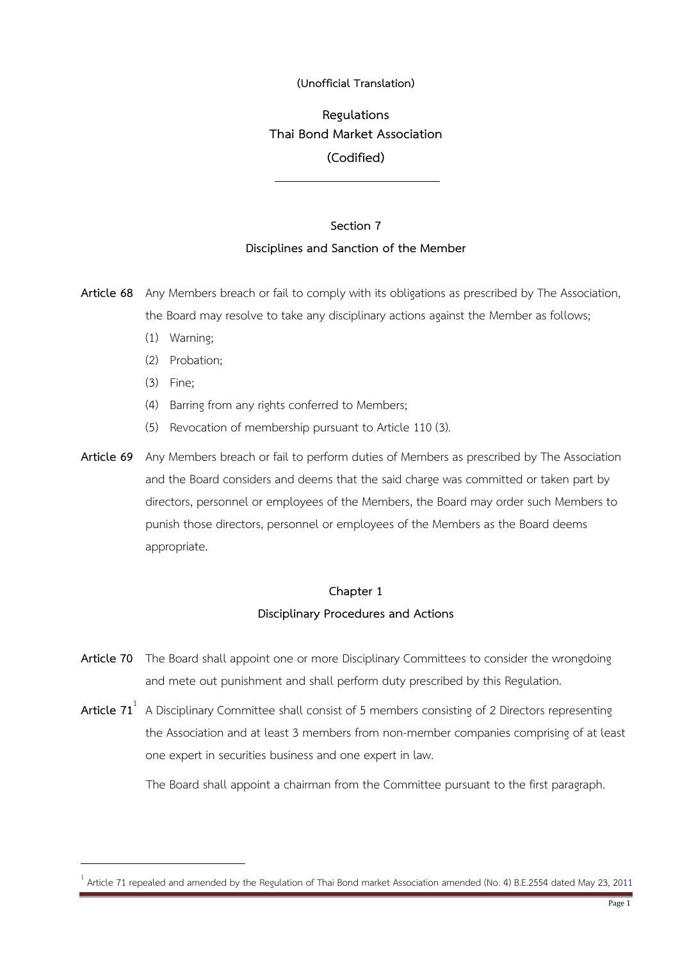## **(Unofficial Translation)**

# **Regulations Thai Bond Market Association (Codified)**

# **Section 7 Disciplines and Sanction of the Member**

**Article 68** Any Members breach or fail to comply with its obligations as prescribed by The Association, the Board may resolve to take any disciplinary actions against the Member as follows;

- (1) Warning;
- (2) Probation;
- (3) Fine;

- (4) Barring from any rights conferred to Members;
- (5) Revocation of membership pursuant to Article 110 (3).
- **Article 69** Any Members breach or fail to perform duties of Members as prescribed by The Association and the Board considers and deems that the said charge was committed or taken part by directors, personnel or employees of the Members, the Board may order such Members to punish those directors, personnel or employees of the Members as the Board deems appropriate.

## **Chapter 1**

### **Disciplinary Procedures and Actions**

- **Article 70** The Board shall appoint one or more Disciplinary Committees to consider the wrongdoing and mete out punishment and shall perform duty prescribed by this Regulation.
- **Article 71**<sup>1</sup> A Disciplinary Committee shall consist of 5 members consisting of 2 Directors representing the Association and at least 3 members from non-member companies comprising of at least one expert in securities business and one expert in law.

The Board shall appoint a chairman from the Committee pursuant to the first paragraph.

<sup>1</sup> Article 71 repealed and amended by the Regulation of Thai Bond market Association amended (No. 4) B.E.2554 dated May 23, 2011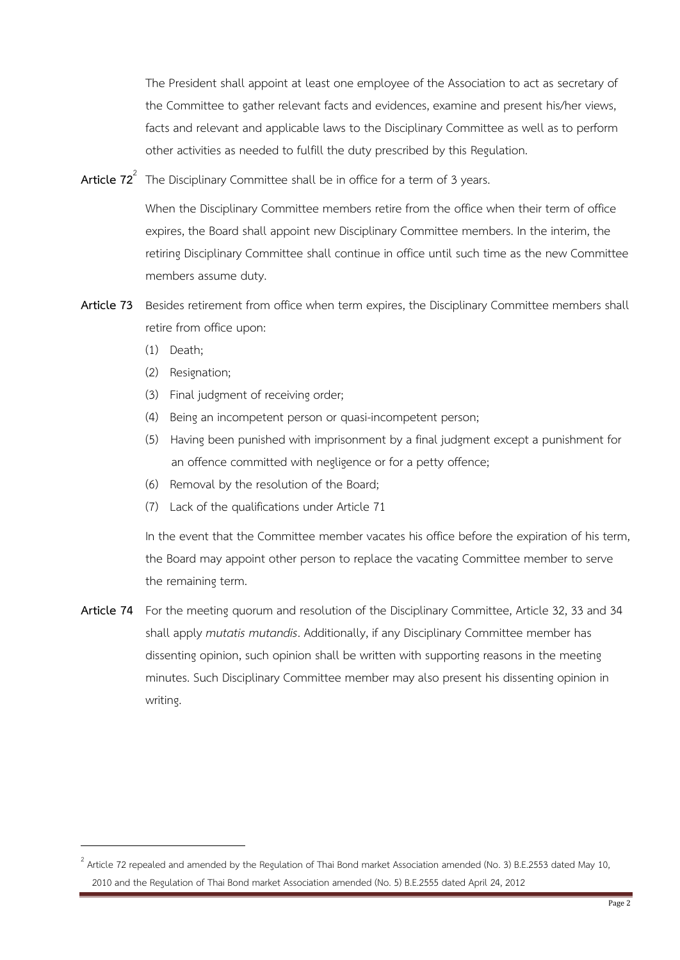The President shall appoint at least one employee of the Association to act as secretary of the Committee to gather relevant facts and evidences, examine and present his/her views, facts and relevant and applicable laws to the Disciplinary Committee as well as to perform other activities as needed to fulfill the duty prescribed by this Regulation.

**Article 72**<sup>2</sup> The Disciplinary Committee shall be in office for a term of 3 years.

When the Disciplinary Committee members retire from the office when their term of office expires, the Board shall appoint new Disciplinary Committee members. In the interim, the retiring Disciplinary Committee shall continue in office until such time as the new Committee members assume duty.

- **Article 73** Besides retirement from office when term expires, the Disciplinary Committee members shall retire from office upon:
	- (1) Death;

- (2) Resignation;
- (3) Final judgment of receiving order;
- (4) Being an incompetent person or quasi-incompetent person;
- (5) Having been punished with imprisonment by a final judgment except a punishment for an offence committed with negligence or for a petty offence;
- (6) Removal by the resolution of the Board;
- (7) Lack of the qualifications under Article 71

In the event that the Committee member vacates his office before the expiration of his term, the Board may appoint other person to replace the vacating Committee member to serve the remaining term.

**Article 74** For the meeting quorum and resolution of the Disciplinary Committee, Article 32, 33 and 34 shall apply *mutatis mutandis*. Additionally, if any Disciplinary Committee member has dissenting opinion, such opinion shall be written with supporting reasons in the meeting minutes. Such Disciplinary Committee member may also present his dissenting opinion in writing.

 $^2$  Article 72 repealed and amended by the Regulation of Thai Bond market Association amended (No. 3) B.E.2553 dated May 10, 2010 and the Regulation of Thai Bond market Association amended (No. 5) B.E.2555 dated April 24, 2012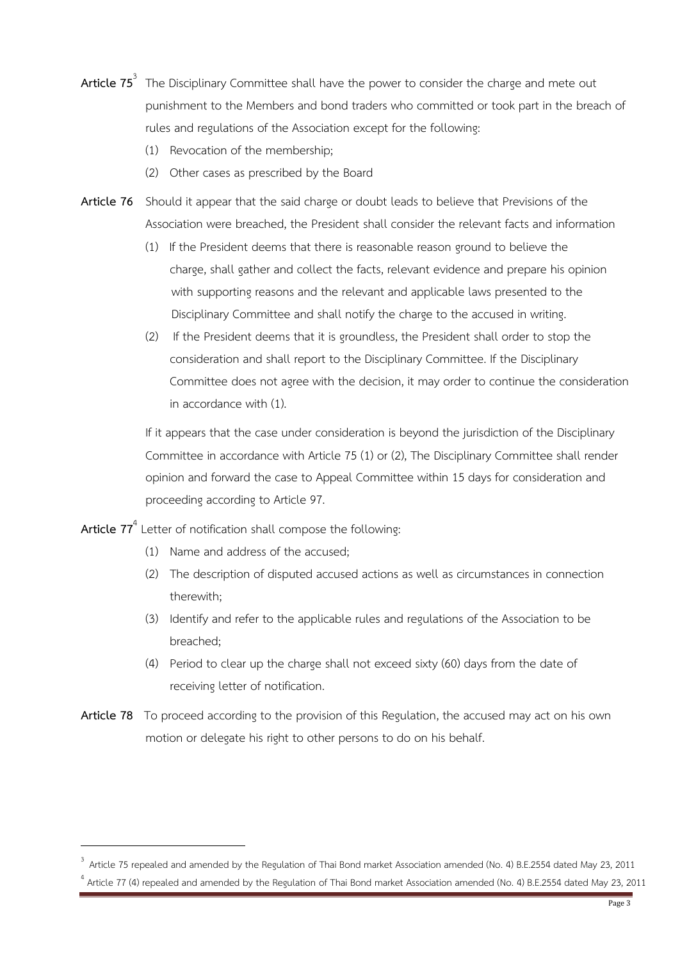- **Article 75**<sup>3</sup> The Disciplinary Committee shall have the power to consider the charge and mete out punishment to the Members and bond traders who committed or took part in the breach of rules and regulations of the Association except for the following:
	- (1) Revocation of the membership;
	- (2) Other cases as prescribed by the Board
- **Article 76** Should it appear that the said charge or doubt leads to believe that Previsions of the Association were breached, the President shall consider the relevant facts and information
	- (1) If the President deems that there is reasonable reason ground to believe the charge, shall gather and collect the facts, relevant evidence and prepare his opinion with supporting reasons and the relevant and applicable laws presented to the Disciplinary Committee and shall notify the charge to the accused in writing.
	- (2) If the President deems that it is groundless, the President shall order to stop the consideration and shall report to the Disciplinary Committee. If the Disciplinary Committee does not agree with the decision, it may order to continue the consideration in accordance with (1).

If it appears that the case under consideration is beyond the jurisdiction of the Disciplinary Committee in accordance with Article 75 (1) or (2), The Disciplinary Committee shall render opinion and forward the case to Appeal Committee within 15 days for consideration and proceeding according to Article 97.

**Article 77**<sup>4</sup> Letter of notification shall compose the following:

- (1) Name and address of the accused;
- (2) The description of disputed accused actions as well as circumstances in connection therewith;
- (3) Identify and refer to the applicable rules and regulations of the Association to be breached;
- (4) Period to clear up the charge shall not exceed sixty (60) days from the date of receiving letter of notification.
- **Article 78** To proceed according to the provision of this Regulation, the accused may act on his own motion or delegate his right to other persons to do on his behalf.

<sup>&</sup>lt;sup>3</sup> Article 75 repealed and amended by the Regulation of Thai Bond market Association amended (No. 4) B.E.2554 dated May 23, 2011 <sup>4</sup> Article 77 (4) repealed and amended by the Regulation of Thai Bond market Association amended (No. 4) B.E.2554 dated May 23, 2011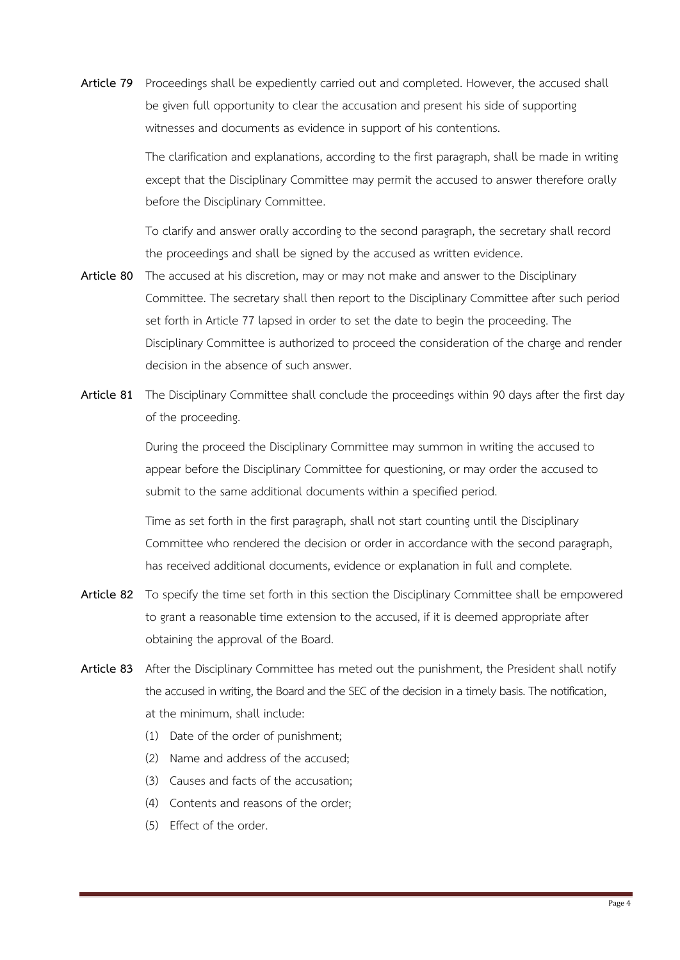**Article 79** Proceedings shall be expediently carried out and completed. However, the accused shall be given full opportunity to clear the accusation and present his side of supporting witnesses and documents as evidence in support of his contentions.

> The clarification and explanations, according to the first paragraph, shall be made in writing except that the Disciplinary Committee may permit the accused to answer therefore orally before the Disciplinary Committee.

To clarify and answer orally according to the second paragraph, the secretary shall record the proceedings and shall be signed by the accused as written evidence.

- **Article 80** The accused at his discretion, may or may not make and answer to the Disciplinary Committee. The secretary shall then report to the Disciplinary Committee after such period set forth in Article 77 lapsed in order to set the date to begin the proceeding. The Disciplinary Committee is authorized to proceed the consideration of the charge and render decision in the absence of such answer.
- **Article 81** The Disciplinary Committee shall conclude the proceedings within 90 days after the first day of the proceeding.

During the proceed the Disciplinary Committee may summon in writing the accused to appear before the Disciplinary Committee for questioning, or may order the accused to submit to the same additional documents within a specified period.

Time as set forth in the first paragraph, shall not start counting until the Disciplinary Committee who rendered the decision or order in accordance with the second paragraph, has received additional documents, evidence or explanation in full and complete.

- **Article 82** To specify the time set forth in this section the Disciplinary Committee shall be empowered to grant a reasonable time extension to the accused, if it is deemed appropriate after obtaining the approval of the Board.
- **Article 83** After the Disciplinary Committee has meted out the punishment, the President shall notify the accused in writing, the Board and the SEC of the decision in a timely basis. The notification, at the minimum, shall include:
	- (1) Date of the order of punishment;
	- (2) Name and address of the accused;
	- (3) Causes and facts of the accusation;
	- (4) Contents and reasons of the order;
	- (5) Effect of the order.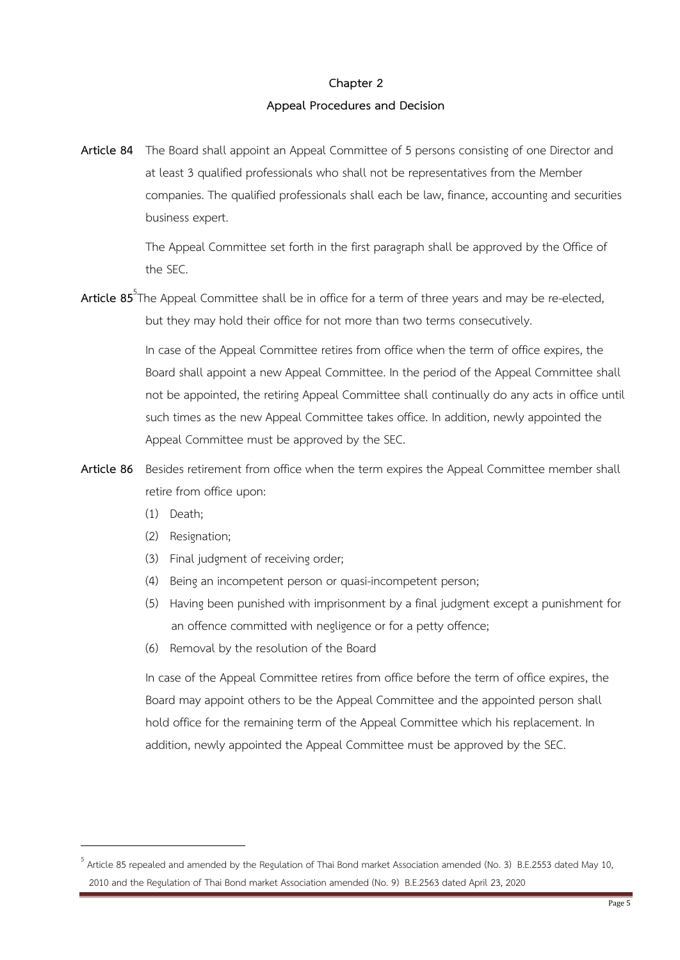### **Chapter 2**

### **Appeal Procedures and Decision**

**Article 84** The Board shall appoint an Appeal Committee of 5 persons consisting of one Director and at least 3 qualified professionals who shall not be representatives from the Member companies. The qualified professionals shall each be law, finance, accounting and securities business expert.

> The Appeal Committee set forth in the first paragraph shall be approved by the Office of the SEC.

**Article 85**<sup>5</sup> The Appeal Committee shall be in office for a term of three years and may be re-elected, but they may hold their office for not more than two terms consecutively.

> In case of the Appeal Committee retires from office when the term of office expires, the Board shall appoint a new Appeal Committee. In the period of the Appeal Committee shall not be appointed, the retiring Appeal Committee shall continually do any acts in office until such times as the new Appeal Committee takes office. In addition, newly appointed the Appeal Committee must be approved by the SEC.

- **Article 86** Besides retirement from office when the term expires the Appeal Committee member shall retire from office upon:
	- (1) Death;

- (2) Resignation;
- (3) Final judgment of receiving order;
- (4) Being an incompetent person or quasi-incompetent person;
- (5) Having been punished with imprisonment by a final judgment except a punishment for an offence committed with negligence or for a petty offence;
- (6) Removal by the resolution of the Board

In case of the Appeal Committee retires from office before the term of office expires, the Board may appoint others to be the Appeal Committee and the appointed person shall hold office for the remaining term of the Appeal Committee which his replacement. In addition, newly appointed the Appeal Committee must be approved by the SEC.

<sup>&</sup>lt;sup>5</sup> Article 85 repealed and amended by the Regulation of Thai Bond market Association amended (No. 3) B.E.2553 dated May 10, 2010 and the Regulation of Thai Bond market Association amended (No. 9) B.E.2563 dated April 23, 2020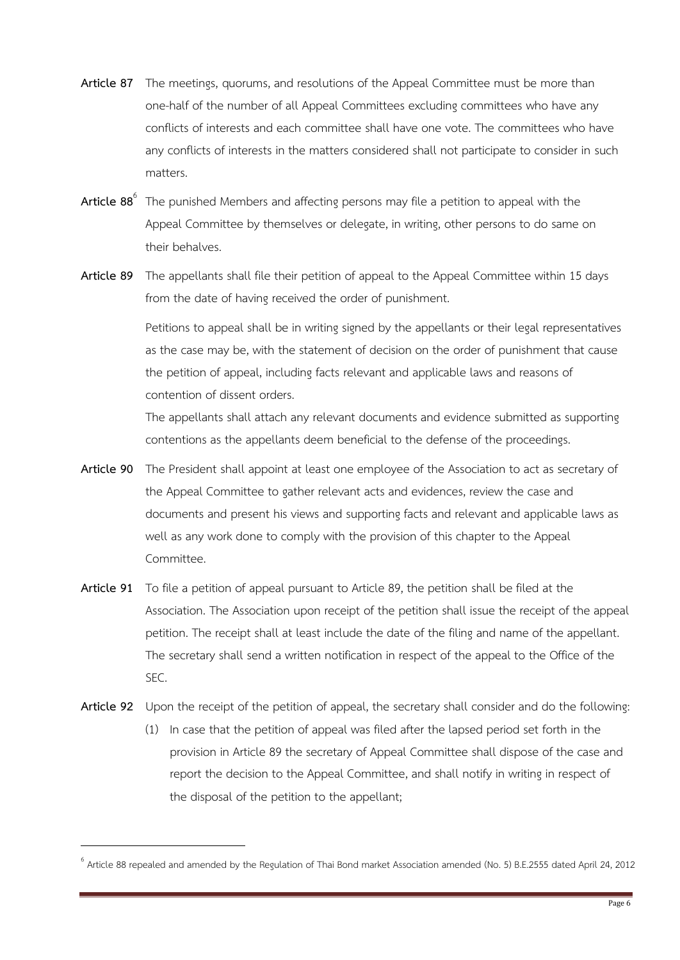- **Article 87** The meetings, quorums, and resolutions of the Appeal Committee must be more than one-half of the number of all Appeal Committees excluding committees who have any conflicts of interests and each committee shall have one vote. The committees who have any conflicts of interests in the matters considered shall not participate to consider in such matters.
- **Article 88**<sup>6</sup> The punished Members and affecting persons may file a petition to appeal with the Appeal Committee by themselves or delegate, in writing, other persons to do same on their behalves.
- **Article 89** The appellants shall file their petition of appeal to the Appeal Committee within 15 days from the date of having received the order of punishment.

Petitions to appeal shall be in writing signed by the appellants or their legal representatives as the case may be, with the statement of decision on the order of punishment that cause the petition of appeal, including facts relevant and applicable laws and reasons of contention of dissent orders.

The appellants shall attach any relevant documents and evidence submitted as supporting contentions as the appellants deem beneficial to the defense of the proceedings.

- **Article 90** The President shall appoint at least one employee of the Association to act as secretary of the Appeal Committee to gather relevant acts and evidences, review the case and documents and present his views and supporting facts and relevant and applicable laws as well as any work done to comply with the provision of this chapter to the Appeal Committee.
- **Article 91** To file a petition of appeal pursuant to Article 89, the petition shall be filed at the Association. The Association upon receipt of the petition shall issue the receipt of the appeal petition. The receipt shall at least include the date of the filing and name of the appellant. The secretary shall send a written notification in respect of the appeal to the Office of the SEC.
- **Article 92** Upon the receipt of the petition of appeal, the secretary shall consider and do the following:
	- (1) In case that the petition of appeal was filed after the lapsed period set forth in the provision in Article 89 the secretary of Appeal Committee shall dispose of the case and report the decision to the Appeal Committee, and shall notify in writing in respect of the disposal of the petition to the appellant;

 $^6$  Article 88 repealed and amended by the Regulation of Thai Bond market Association amended (No. 5) B.E.2555 dated April 24, 2012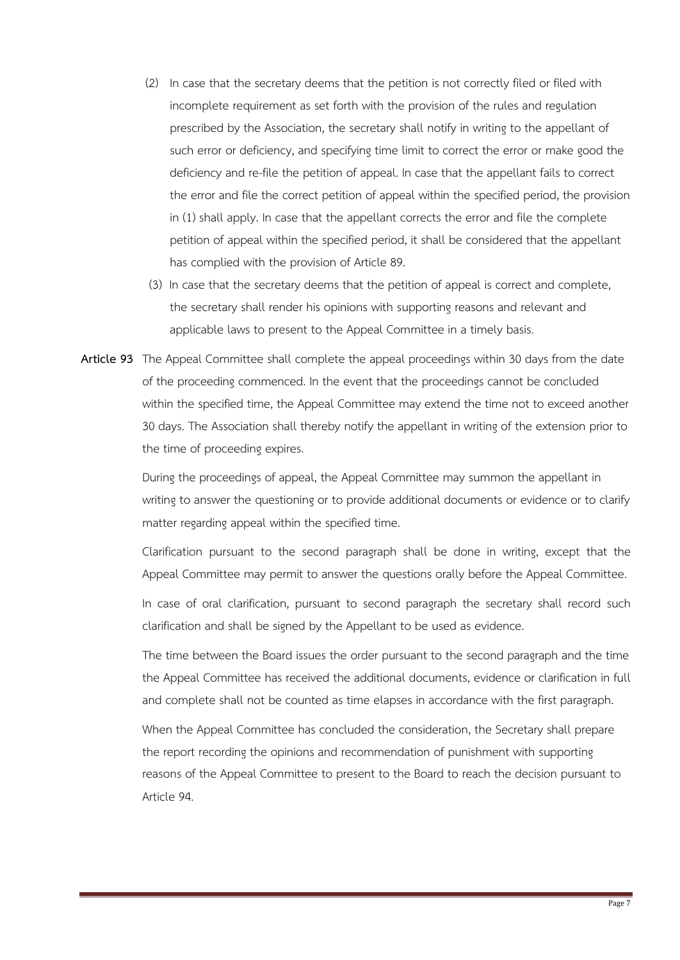- (2) In case that the secretary deems that the petition is not correctly filed or filed with incomplete requirement as set forth with the provision of the rules and regulation prescribed by the Association, the secretary shall notify in writing to the appellant of such error or deficiency, and specifying time limit to correct the error or make good the deficiency and re-file the petition of appeal. In case that the appellant fails to correct the error and file the correct petition of appeal within the specified period, the provision in (1) shall apply. In case that the appellant corrects the error and file the complete petition of appeal within the specified period, it shall be considered that the appellant has complied with the provision of Article 89.
- (3) In case that the secretary deems that the petition of appeal is correct and complete, the secretary shall render his opinions with supporting reasons and relevant and applicable laws to present to the Appeal Committee in a timely basis.
- **Article 93** The Appeal Committee shall complete the appeal proceedings within 30 days from the date of the proceeding commenced. In the event that the proceedings cannot be concluded within the specified time, the Appeal Committee may extend the time not to exceed another 30 days. The Association shall thereby notify the appellant in writing of the extension prior to the time of proceeding expires.

During the proceedings of appeal, the Appeal Committee may summon the appellant in writing to answer the questioning or to provide additional documents or evidence or to clarify matter regarding appeal within the specified time.

Clarification pursuant to the second paragraph shall be done in writing, except that the Appeal Committee may permit to answer the questions orally before the Appeal Committee.

In case of oral clarification, pursuant to second paragraph the secretary shall record such clarification and shall be signed by the Appellant to be used as evidence.

The time between the Board issues the order pursuant to the second paragraph and the time the Appeal Committee has received the additional documents, evidence or clarification in full and complete shall not be counted as time elapses in accordance with the first paragraph.

When the Appeal Committee has concluded the consideration, the Secretary shall prepare the report recording the opinions and recommendation of punishment with supporting reasons of the Appeal Committee to present to the Board to reach the decision pursuant to Article 94.